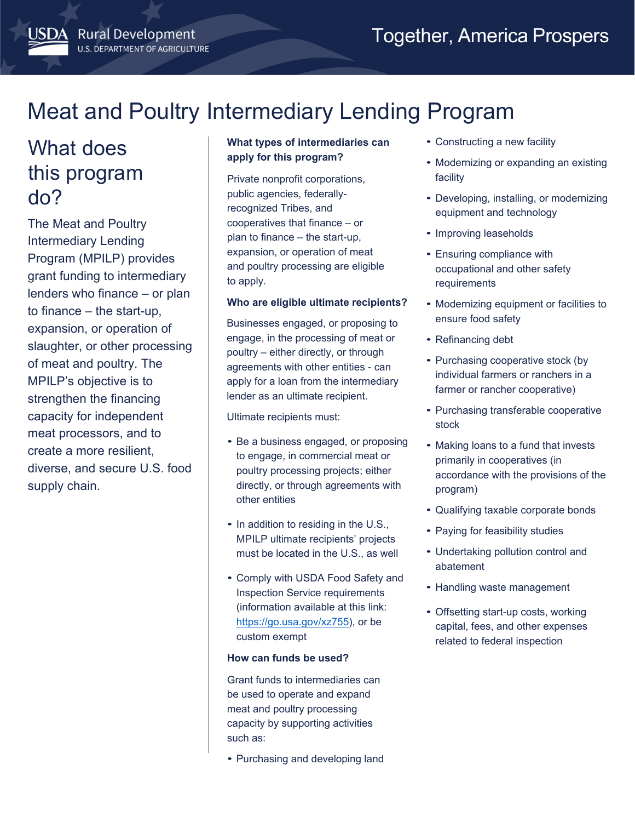# What does this program do?

**ISDA** Rural Development

**U.S. DEPARTMENT OF AGRICULTURE** 

The Meat and Poultry Intermediary Lending Program (MPILP) provides grant funding to intermediary lenders who finance – or plan to finance – the start-up, expansion, or operation of slaughter, or other processing of meat and poultry. The MPILP's objective is to strengthen the financing capacity for independent meat processors, and to create a more resilient, diverse, and secure U.S. food supply chain.

# **What types of intermediaries can apply for this program?**

Private nonprofit corporations, public agencies, federallyrecognized Tribes, and cooperatives that finance – or plan to finance – the start-up, expansion, or operation of meat and poultry processing are eligible to apply.

## **Who are eligible ultimate recipients?**

Businesses engaged, or proposing to engage, in the processing of meat or poultry – either directly, or through agreements with other entities - can apply for a loan from the intermediary lender as an ultimate recipient.

Ultimate recipients must:

- Be a business engaged, or proposing to engage, in commercial meat or poultry processing projects; either directly, or through agreements with other entities
- In addition to residing in the U.S., MPILP ultimate recipients' projects must be located in the U.S., as well
- Comply with USDA Food Safety and Inspection Service requirements (information available at this link: <https://go.usa.gov/xz755>), or be custom exempt

### **How can funds be used?**

Grant funds to intermediaries can be used to operate and expand meat and poultry processing capacity by supporting activities such as:

• Purchasing and developing land

- Constructing a new facility
- Modernizing or expanding an existing facility
- equipment and technology • Developing, installing, or modernizing
- Improving leaseholds
- Ensuring compliance with occupational and other safety requirements
- ensure food safety • Modernizing equipment or facilities to
- Refinancing debt
- Purchasing cooperative stock (by individual farmers or ranchers in a farmer or rancher cooperative)
- Purchasing transferable cooperative stock
- program) • Making loans to a fund that invests primarily in cooperatives (in accordance with the provisions of the
- Qualifying taxable corporate bonds
- Paying for feasibility studies
- Undertaking pollution control and abatement
- Handling waste management
- Offsetting start-up costs, working capital, fees, and other expenses related to federal inspection